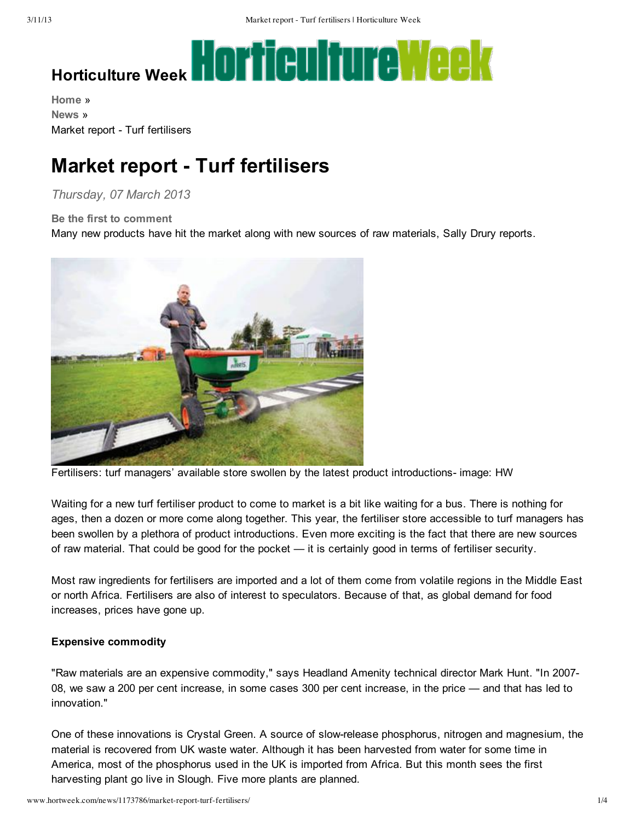# **HOTTGUITEWEEK**

**[Home](http://www.hortweek.com/home/)** » **[News](http://www.hortweek.com/news/)** » Market report - Turf fertilisers

# **Market report Turf fertilisers**

# *Thursday, 07 March 2013*

## **Be the first to [comment](http://www.hortweek.com/news/1173786/market-report-turf-fertilisers/#disqus_thread)**

Many new products have hit the market along with new sources of raw materials, Sally Drury reports.



Fertilisers: turf managers' available store swollen by the latest product introductions image: HW

Waiting for a new turf fertiliser product to come to market is a bit like waiting for a bus. There is nothing for ages, then a dozen or more come along together. This year, the fertiliser store accessible to turf managers has been swollen by a plethora of product introductions. Even more exciting is the fact that there are new sources of raw material. That could be good for the pocket — it is certainly good in terms of fertiliser security.

Most raw ingredients for fertilisers are imported and a lot of them come from volatile regions in the Middle East or north Africa. Fertilisers are also of interest to speculators. Because of that, as global demand for food increases, prices have gone up.

## **Expensive commodity**

"Raw materials are an expensive commodity," says Headland Amenity technical director Mark Hunt. "In 2007 08, we saw a 200 per cent increase, in some cases 300 per cent increase, in the price — and that has led to innovation."

One of these innovations is Crystal Green. A source of slowrelease phosphorus, nitrogen and magnesium, the material is recovered from UK waste water. Although it has been harvested from water for some time in America, most of the phosphorus used in the UK is imported from Africa. But this month sees the first harvesting plant go live in Slough. Five more plants are planned.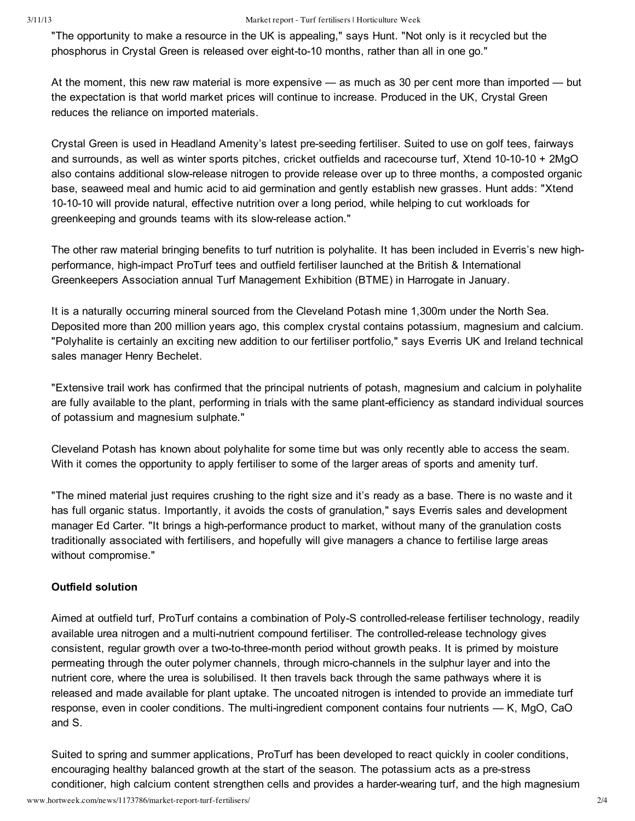#### 3/11/13 Market report - Turf fertilisers | Horticulture Week

"The opportunity to make a resource in the UK is appealing," says Hunt. "Not only is it recycled but the phosphorus in Crystal Green is released over eight-to-10 months, rather than all in one go."

At the moment, this new raw material is more expensive — as much as 30 per cent more than imported — but the expectation is that world market prices will continue to increase. Produced in the UK, Crystal Green reduces the reliance on imported materials.

Crystal Green is used in Headland Amenity's latest preseeding fertiliser. Suited to use on golf tees, fairways and surrounds, as well as winter sports pitches, cricket outfields and racecourse turf, Xtend 10-10-10 + 2MgO also contains additional slowrelease nitrogen to provide release over up to three months, a composted organic base, seaweed meal and humic acid to aid germination and gently establish new grasses. Hunt adds: "Xtend 10-10-10 will provide natural, effective nutrition over a long period, while helping to cut workloads for greenkeeping and grounds teams with its slowrelease action."

The other raw material bringing benefits to turf nutrition is polyhalite. It has been included in Everris's new highperformance, high-impact ProTurf tees and outfield fertiliser launched at the British & International Greenkeepers Association annual Turf Management Exhibition (BTME) in Harrogate in January.

It is a naturally occurring mineral sourced from the Cleveland Potash mine 1,300m under the North Sea. Deposited more than 200 million years ago, this complex crystal contains potassium, magnesium and calcium. "Polyhalite is certainly an exciting new addition to our fertiliser portfolio," says Everris UK and Ireland technical sales manager Henry Bechelet.

"Extensive trail work has confirmed that the principal nutrients of potash, magnesium and calcium in polyhalite are fully available to the plant, performing in trials with the same plant-efficiency as standard individual sources of potassium and magnesium sulphate."

Cleveland Potash has known about polyhalite for some time but was only recently able to access the seam. With it comes the opportunity to apply fertiliser to some of the larger areas of sports and amenity turf.

"The mined material just requires crushing to the right size and it's ready as a base. There is no waste and it has full organic status. Importantly, it avoids the costs of granulation," says Everris sales and development manager Ed Carter. "It brings a high-performance product to market, without many of the granulation costs traditionally associated with fertilisers, and hopefully will give managers a chance to fertilise large areas without compromise."

# **Outfield solution**

Aimed at outfield turf, ProTurf contains a combination of Poly-S controlled-release fertiliser technology, readily available urea nitrogen and a multi-nutrient compound fertiliser. The controlled-release technology gives consistent, regular growth over a two-to-three-month period without growth peaks. It is primed by moisture permeating through the outer polymer channels, through microchannels in the sulphur layer and into the nutrient core, where the urea is solubilised. It then travels back through the same pathways where it is released and made available for plant uptake. The uncoated nitrogen is intended to provide an immediate turf response, even in cooler conditions. The multi-ingredient component contains four nutrients  $-$  K, MgO, CaO and S.

Suited to spring and summer applications, ProTurf has been developed to react quickly in cooler conditions, encouraging healthy balanced growth at the start of the season. The potassium acts as a pre-stress conditioner, high calcium content strengthen cells and provides a harder-wearing turf, and the high magnesium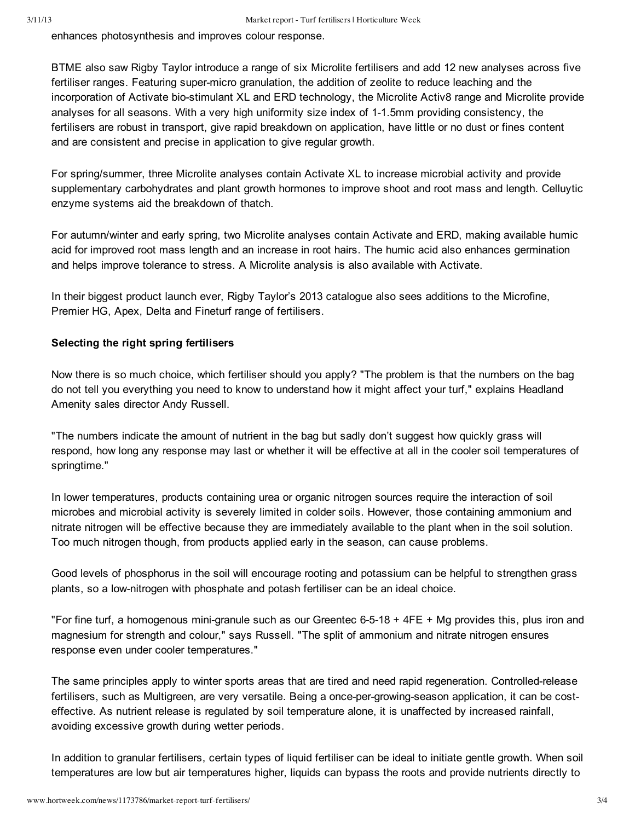enhances photosynthesis and improves colour response.

BTME also saw Rigby Taylor introduce a range of six Microlite fertilisers and add 12 new analyses across five fertiliser ranges. Featuring super-micro granulation, the addition of zeolite to reduce leaching and the incorporation of Activate bio-stimulant XL and ERD technology, the Microlite Activ8 range and Microlite provide analyses for all seasons. With a very high uniformity size index of 1-1.5mm providing consistency, the fertilisers are robust in transport, give rapid breakdown on application, have little or no dust or fines content and are consistent and precise in application to give regular growth.

For spring/summer, three Microlite analyses contain Activate XL to increase microbial activity and provide supplementary carbohydrates and plant growth hormones to improve shoot and root mass and length. Celluytic enzyme systems aid the breakdown of thatch.

For autumn/winter and early spring, two Microlite analyses contain Activate and ERD, making available humic acid for improved root mass length and an increase in root hairs. The humic acid also enhances germination and helps improve tolerance to stress. A Microlite analysis is also available with Activate.

In their biggest product launch ever, Rigby Taylor's 2013 catalogue also sees additions to the Microfine, Premier HG, Apex, Delta and Fineturf range of fertilisers.

# **Selecting the right spring fertilisers**

Now there is so much choice, which fertiliser should you apply? "The problem is that the numbers on the bag do not tell you everything you need to know to understand how it might affect your turf," explains Headland Amenity sales director Andy Russell.

"The numbers indicate the amount of nutrient in the bag but sadly don't suggest how quickly grass will respond, how long any response may last or whether it will be effective at all in the cooler soil temperatures of springtime."

In lower temperatures, products containing urea or organic nitrogen sources require the interaction of soil microbes and microbial activity is severely limited in colder soils. However, those containing ammonium and nitrate nitrogen will be effective because they are immediately available to the plant when in the soil solution. Too much nitrogen though, from products applied early in the season, can cause problems.

Good levels of phosphorus in the soil will encourage rooting and potassium can be helpful to strengthen grass plants, so a low-nitrogen with phosphate and potash fertiliser can be an ideal choice.

"For fine turf, a homogenous mini-granule such as our Greentec 6-5-18 +  $4FE + Mg$  provides this, plus iron and magnesium for strength and colour," says Russell. "The split of ammonium and nitrate nitrogen ensures response even under cooler temperatures."

The same principles apply to winter sports areas that are tired and need rapid regeneration. Controlled-release fertilisers, such as Multigreen, are very versatile. Being a once-per-growing-season application, it can be costeffective. As nutrient release is regulated by soil temperature alone, it is unaffected by increased rainfall, avoiding excessive growth during wetter periods.

In addition to granular fertilisers, certain types of liquid fertiliser can be ideal to initiate gentle growth. When soil temperatures are low but air temperatures higher, liquids can bypass the roots and provide nutrients directly to